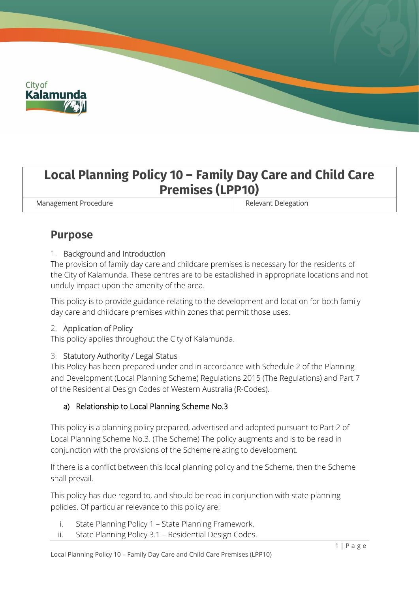

# **Local Planning Policy 10 – Family Day Care and Child Care Premises (LPP10)**

Management Procedure **Relevant Delegation** 

## **Purpose**

## 1. Background and Introduction

The provision of family day care and childcare premises is necessary for the residents of the City of Kalamunda. These centres are to be established in appropriate locations and not unduly impact upon the amenity of the area.

This policy is to provide guidance relating to the development and location for both family day care and childcare premises within zones that permit those uses.

### 2. Application of Policy

This policy applies throughout the City of Kalamunda.

### 3. Statutory Authority / Legal Status

This Policy has been prepared under and in accordance with Schedule 2 of the Planning and Development (Local Planning Scheme) Regulations 2015 (The Regulations) and Part 7 of the Residential Design Codes of Western Australia (R-Codes).

## a) Relationship to Local Planning Scheme No.3

This policy is a planning policy prepared, advertised and adopted pursuant to Part 2 of Local Planning Scheme No.3. (The Scheme) The policy augments and is to be read in conjunction with the provisions of the Scheme relating to development.

If there is a conflict between this local planning policy and the Scheme, then the Scheme shall prevail.

This policy has due regard to, and should be read in conjunction with state planning policies. Of particular relevance to this policy are:

- i. State Planning Policy 1 State Planning Framework.
- ii. State Planning Policy 3.1 Residential Design Codes.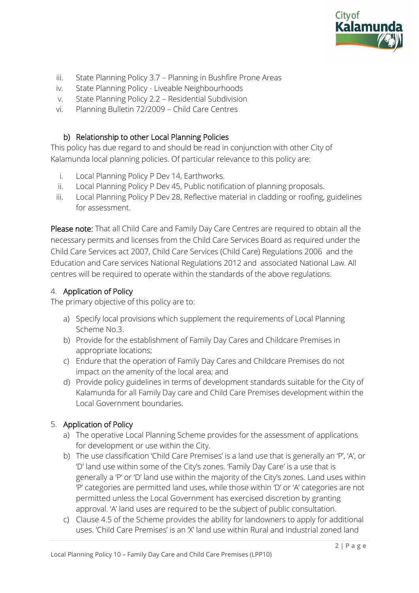

- iii. State Planning Policy 3.7 Planning in Bushfire Prone Areas
- iv. State Planning Policy Liveable Neighbourhoods
- v. State Planning Policy 2.2 Residential Subdivision
- vi. Planning Bulletin 72/2009 Child Care Centres

#### b) Relationship to other Local Planning Policies

This policy has due regard to and should be read in conjunction with other City of Kalamunda local planning policies. Of particular relevance to this policy are:

- i. Local Planning Policy P Dev 14, Earthworks.
- ii. Local Planning Policy P Dev 45, Public notification of planning proposals.
- iii. Local Planning Policy P Dev 28, Reflective material in cladding or roofing, guidelines for assessment.

Please note: That all Child Care and Family Day Care Centres are required to obtain all the necessary permits and licenses from the Child Care Services Board as required under the Child Care Services act 2007, Child Care Services (Child Care) Regulations 2006 and the Education and Care services National Regulations 2012 and associated National Law. All centres will be required to operate within the standards of the above regulations.

### 4. Application of Policy

The primary objective of this policy are to:

- a) Specify local provisions which supplement the requirements of Local Planning Scheme No.3.
- b) Provide for the establishment of Family Day Cares and Childcare Premises in appropriate locations;
- c) Endure that the operation of Family Day Cares and Childcare Premises do not impact on the amenity of the local area; and
- d) Provide policy guidelines in terms of development standards suitable for the City of Kalamunda for all Family Day care and Child Care Premises development within the Local Government boundaries.

### 5. Application of Policy

- a) The operative Local Planning Scheme provides for the assessment of applications for development or use within the City.
- b) The use classification 'Child Care Premises' is a land use that is generally an 'P', 'A', or 'D' land use within some of the City's zones. 'Family Day Care' is a use that is generally a 'P' or 'D' land use within the majority of the City's zones. Land uses within 'P' categories are permitted land uses, while those within 'D' or 'A' categories are not permitted unless the Local Government has exercised discretion by granting approval. 'A' land uses are required to be the subject of public consultation.
- c) Clause 4.5 of the Scheme provides the ability for landowners to apply for additional uses. 'Child Care Premises' is an 'X' land use within Rural and Industrial zoned land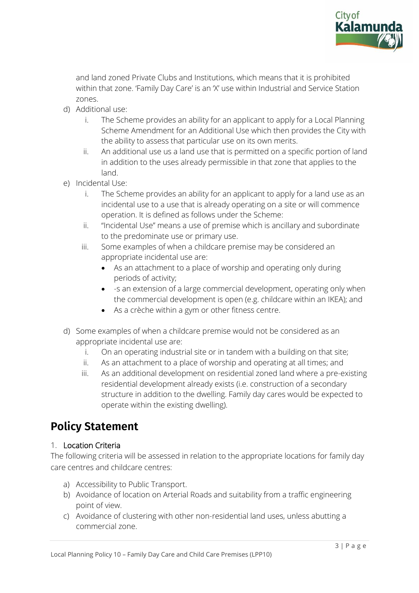

and land zoned Private Clubs and Institutions, which means that it is prohibited within that zone. 'Family Day Care' is an 'X' use within Industrial and Service Station zones.

- d) Additional use:
	- i. The Scheme provides an ability for an applicant to apply for a Local Planning Scheme Amendment for an Additional Use which then provides the City with the ability to assess that particular use on its own merits.
	- ii. An additional use us a land use that is permitted on a specific portion of land in addition to the uses already permissible in that zone that applies to the land.
- e) Incidental Use:
	- i. The Scheme provides an ability for an applicant to apply for a land use as an incidental use to a use that is already operating on a site or will commence operation. It is defined as follows under the Scheme:
	- ii. "Incidental Use" means a use of premise which is ancillary and subordinate to the predominate use or primary use.
	- iii. Some examples of when a childcare premise may be considered an appropriate incidental use are:
		- As an attachment to a place of worship and operating only during periods of activity;
		- -s an extension of a large commercial development, operating only when the commercial development is open (e.g. childcare within an IKEA); and
		- As a crèche within a gym or other fitness centre.
- d) Some examples of when a childcare premise would not be considered as an appropriate incidental use are:
	- i. On an operating industrial site or in tandem with a building on that site;
	- ii. As an attachment to a place of worship and operating at all times; and
	- iii. As an additional development on residential zoned land where a pre-existing residential development already exists (i.e. construction of a secondary structure in addition to the dwelling. Family day cares would be expected to operate within the existing dwelling).

## **Policy Statement**

## 1. Location Criteria

The following criteria will be assessed in relation to the appropriate locations for family day care centres and childcare centres:

- a) Accessibility to Public Transport.
- b) Avoidance of location on Arterial Roads and suitability from a traffic engineering point of view.
- c) Avoidance of clustering with other non-residential land uses, unless abutting a commercial zone.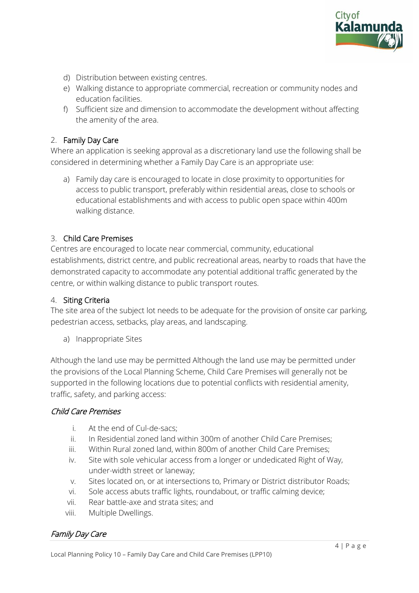

- d) Distribution between existing centres.
- e) Walking distance to appropriate commercial, recreation or community nodes and education facilities.
- f) Sufficient size and dimension to accommodate the development without affecting the amenity of the area.

#### 2. Family Day Care

Where an application is seeking approval as a discretionary land use the following shall be considered in determining whether a Family Day Care is an appropriate use:

a) Family day care is encouraged to locate in close proximity to opportunities for access to public transport, preferably within residential areas, close to schools or educational establishments and with access to public open space within 400m walking distance.

#### 3. Child Care Premises

Centres are encouraged to locate near commercial, community, educational establishments, district centre, and public recreational areas, nearby to roads that have the demonstrated capacity to accommodate any potential additional traffic generated by the centre, or within walking distance to public transport routes.

#### 4. Siting Criteria

The site area of the subject lot needs to be adequate for the provision of onsite car parking, pedestrian access, setbacks, play areas, and landscaping.

a) Inappropriate Sites

Although the land use may be permitted Although the land use may be permitted under the provisions of the Local Planning Scheme, Child Care Premises will generally not be supported in the following locations due to potential conflicts with residential amenity, traffic, safety, and parking access:

#### Child Care Premises

- i. At the end of Cul-de-sacs;
- ii. In Residential zoned land within 300m of another Child Care Premises;
- iii. Within Rural zoned land, within 800m of another Child Care Premises;
- iv. Site with sole vehicular access from a longer or undedicated Right of Way, under-width street or laneway;
- v. Sites located on, or at intersections to, Primary or District distributor Roads;
- vi. Sole access abuts traffic lights, roundabout, or traffic calming device;
- vii. Rear battle-axe and strata sites; and
- viii. Multiple Dwellings.

### Family Day Care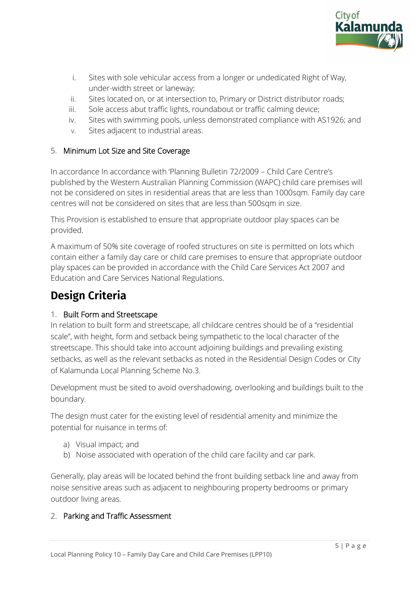

- i. Sites with sole vehicular access from a longer or undedicated Right of Way, under-width street or laneway;
- ii. Sites located on, or at intersection to, Primary or District distributor roads;
- iii. Sole access abut traffic lights, roundabout or traffic calming device;
- iv. Sites with swimming pools, unless demonstrated compliance with AS1926; and
- v. Sites adjacent to industrial areas.

### 5. Minimum Lot Size and Site Coverage

In accordance In accordance with 'Planning Bulletin 72/2009 – Child Care Centre's published by the Western Australian Planning Commission (WAPC) child care premises will not be considered on sites in residential areas that are less than 1000sqm. Family day care centres will not be considered on sites that are less than 500sqm in size.

This Provision is established to ensure that appropriate outdoor play spaces can be provided.

A maximum of 50% site coverage of roofed structures on site is permitted on lots which contain either a family day care or child care premises to ensure that appropriate outdoor play spaces can be provided in accordance with the Child Care Services Act 2007 and Education and Care Services National Regulations.

## **Design Criteria**

### 1. Built Form and Streetscape

In relation to built form and streetscape, all childcare centres should be of a "residential scale", with height, form and setback being sympathetic to the local character of the streetscape. This should take into account adjoining buildings and prevailing existing setbacks, as well as the relevant setbacks as noted in the Residential Design Codes or City of Kalamunda Local Planning Scheme No.3.

Development must be sited to avoid overshadowing, overlooking and buildings built to the boundary.

The design must cater for the existing level of residential amenity and minimize the potential for nuisance in terms of:

- a) Visual impact; and
- b) Noise associated with operation of the child care facility and car park.

Generally, play areas will be located behind the front building setback line and away from noise sensitive areas such as adjacent to neighbouring property bedrooms or primary outdoor living areas.

### 2. Parking and Traffic Assessment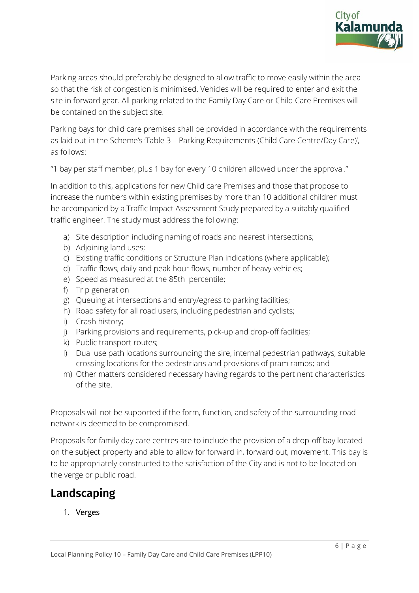

Parking areas should preferably be designed to allow traffic to move easily within the area so that the risk of congestion is minimised. Vehicles will be required to enter and exit the site in forward gear. All parking related to the Family Day Care or Child Care Premises will be contained on the subject site.

Parking bays for child care premises shall be provided in accordance with the requirements as laid out in the Scheme's 'Table 3 – Parking Requirements (Child Care Centre/Day Care)', as follows:

"1 bay per staff member, plus 1 bay for every 10 children allowed under the approval."

In addition to this, applications for new Child care Premises and those that propose to increase the numbers within existing premises by more than 10 additional children must be accompanied by a Traffic Impact Assessment Study prepared by a suitably qualified traffic engineer. The study must address the following:

- a) Site description including naming of roads and nearest intersections;
- b) Adjoining land uses;
- c) Existing traffic conditions or Structure Plan indications (where applicable);
- d) Traffic flows, daily and peak hour flows, number of heavy vehicles;
- e) Speed as measured at the 85th percentile;
- f) Trip generation
- g) Queuing at intersections and entry/egress to parking facilities;
- h) Road safety for all road users, including pedestrian and cyclists;
- i) Crash history;
- j) Parking provisions and requirements, pick-up and drop-off facilities;
- k) Public transport routes;
- l) Dual use path locations surrounding the sire, internal pedestrian pathways, suitable crossing locations for the pedestrians and provisions of pram ramps; and
- m) Other matters considered necessary having regards to the pertinent characteristics of the site.

Proposals will not be supported if the form, function, and safety of the surrounding road network is deemed to be compromised.

Proposals for family day care centres are to include the provision of a drop-off bay located on the subject property and able to allow for forward in, forward out, movement. This bay is to be appropriately constructed to the satisfaction of the City and is not to be located on the verge or public road.

## **Landscaping**

1. Verges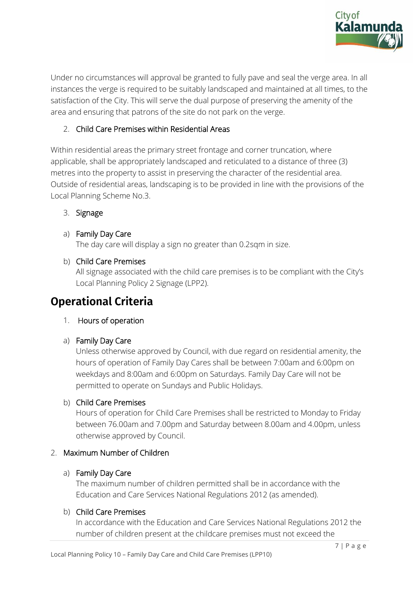

Under no circumstances will approval be granted to fully pave and seal the verge area. In all instances the verge is required to be suitably landscaped and maintained at all times, to the satisfaction of the City. This will serve the dual purpose of preserving the amenity of the area and ensuring that patrons of the site do not park on the verge.

### 2. Child Care Premises within Residential Areas

Within residential areas the primary street frontage and corner truncation, where applicable, shall be appropriately landscaped and reticulated to a distance of three (3) metres into the property to assist in preserving the character of the residential area. Outside of residential areas, landscaping is to be provided in line with the provisions of the Local Planning Scheme No.3.

### 3. Signage

#### a) Family Day Care

The day care will display a sign no greater than 0.2sqm in size.

#### b) Child Care Premises

All signage associated with the child care premises is to be compliant with the City's Local Planning Policy 2 Signage (LPP2).

## **Operational Criteria**

### 1. Hours of operation

a) Family Day Care

Unless otherwise approved by Council, with due regard on residential amenity, the hours of operation of Family Day Cares shall be between 7:00am and 6:00pm on weekdays and 8:00am and 6:00pm on Saturdays. Family Day Care will not be permitted to operate on Sundays and Public Holidays.

#### b) Child Care Premises

Hours of operation for Child Care Premises shall be restricted to Monday to Friday between 76.00am and 7.00pm and Saturday between 8.00am and 4.00pm, unless otherwise approved by Council.

### 2. Maximum Number of Children

#### a) Family Day Care

The maximum number of children permitted shall be in accordance with the Education and Care Services National Regulations 2012 (as amended).

#### b) Child Care Premises

In accordance with the Education and Care Services National Regulations 2012 the number of children present at the childcare premises must not exceed the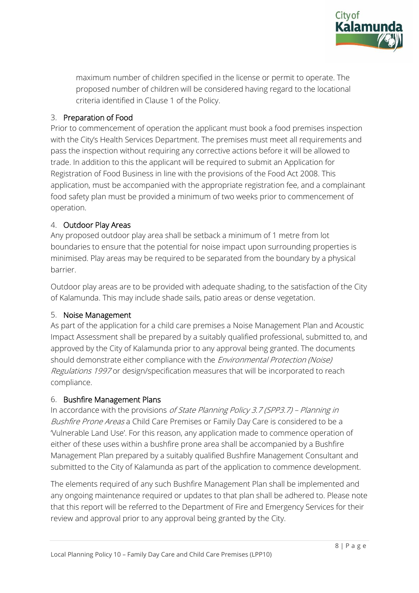

maximum number of children specified in the license or permit to operate. The proposed number of children will be considered having regard to the locational criteria identified in Clause 1 of the Policy.

## 3. Preparation of Food

Prior to commencement of operation the applicant must book a food premises inspection with the City's Health Services Department. The premises must meet all requirements and pass the inspection without requiring any corrective actions before it will be allowed to trade. In addition to this the applicant will be required to submit an Application for Registration of Food Business in line with the provisions of the Food Act 2008. This application, must be accompanied with the appropriate registration fee, and a complainant food safety plan must be provided a minimum of two weeks prior to commencement of operation.

## 4. Outdoor Play Areas

Any proposed outdoor play area shall be setback a minimum of 1 metre from lot boundaries to ensure that the potential for noise impact upon surrounding properties is minimised. Play areas may be required to be separated from the boundary by a physical barrier.

Outdoor play areas are to be provided with adequate shading, to the satisfaction of the City of Kalamunda. This may include shade sails, patio areas or dense vegetation.

### 5. Noise Management

As part of the application for a child care premises a Noise Management Plan and Acoustic Impact Assessment shall be prepared by a suitably qualified professional, submitted to, and approved by the City of Kalamunda prior to any approval being granted. The documents should demonstrate either compliance with the *Environmental Protection (Noise)* Regulations 1997 or design/specification measures that will be incorporated to reach compliance.

## 6. Bushfire Management Plans

In accordance with the provisions of State Planning Policy 3.7 (SPP3.7) – Planning in Bushfire Prone Areas a Child Care Premises or Family Day Care is considered to be a 'Vulnerable Land Use'. For this reason, any application made to commence operation of either of these uses within a bushfire prone area shall be accompanied by a Bushfire Management Plan prepared by a suitably qualified Bushfire Management Consultant and submitted to the City of Kalamunda as part of the application to commence development.

The elements required of any such Bushfire Management Plan shall be implemented and any ongoing maintenance required or updates to that plan shall be adhered to. Please note that this report will be referred to the Department of Fire and Emergency Services for their review and approval prior to any approval being granted by the City.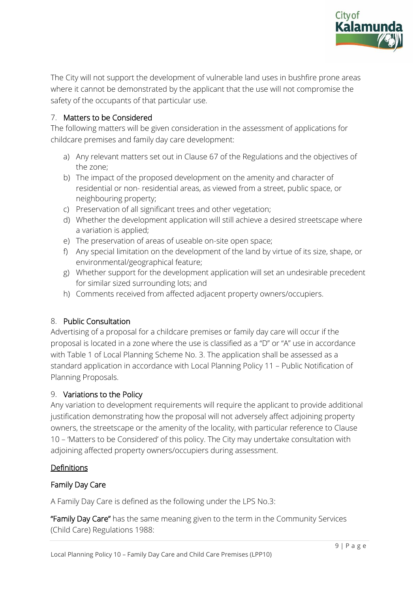

The City will not support the development of vulnerable land uses in bushfire prone areas where it cannot be demonstrated by the applicant that the use will not compromise the safety of the occupants of that particular use.

## 7. Matters to be Considered

The following matters will be given consideration in the assessment of applications for childcare premises and family day care development:

- a) Any relevant matters set out in Clause 67 of the Regulations and the objectives of the zone;
- b) The impact of the proposed development on the amenity and character of residential or non- residential areas, as viewed from a street, public space, or neighbouring property;
- c) Preservation of all significant trees and other vegetation;
- d) Whether the development application will still achieve a desired streetscape where a variation is applied;
- e) The preservation of areas of useable on-site open space;
- f) Any special limitation on the development of the land by virtue of its size, shape, or environmental/geographical feature;
- g) Whether support for the development application will set an undesirable precedent for similar sized surrounding lots; and
- h) Comments received from affected adjacent property owners/occupiers.

### 8. Public Consultation

Advertising of a proposal for a childcare premises or family day care will occur if the proposal is located in a zone where the use is classified as a "D" or "A" use in accordance with Table 1 of Local Planning Scheme No. 3. The application shall be assessed as a standard application in accordance with Local Planning Policy 11 – Public Notification of Planning Proposals.

### 9. Variations to the Policy

Any variation to development requirements will require the applicant to provide additional justification demonstrating how the proposal will not adversely affect adjoining property owners, the streetscape or the amenity of the locality, with particular reference to Clause 10 – 'Matters to be Considered' of this policy. The City may undertake consultation with adjoining affected property owners/occupiers during assessment.

### Definitions

#### Family Day Care

A Family Day Care is defined as the following under the LPS No.3:

"Family Day Care" has the same meaning given to the term in the Community Services (Child Care) Regulations 1988: